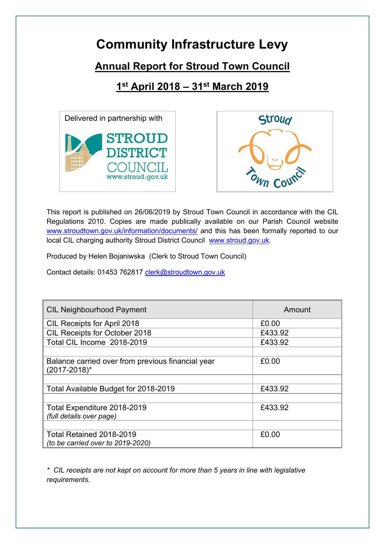## **Community Infrastructure Levy**

## **Annual Report for Stroud Town Council**

**1 st April 2018 – 31st March 2019**





This report is published on 26/06/2019 by Stroud Town Council in accordance with the CIL Regulations 2010. Copies are made publically available on our Parish Council website [www.stroudtown.gov.uk/information/documents/](http://www.stroudtown.gov.uk/information/documents/) and this has been formally reported to our local CIL charging authority Stroud District Council [www.stroud.gov.uk.](http://www.stroud.gov.uk/)

Produced by Helen Bojaniwska (Clerk to Stroud Town Council)

Contact details: 01453 762817 [clerk@stroudtown.gov.uk](mailto:clerk@stroudtown.gov.uk)

| <b>CIL Neighbourhood Payment</b>                                       | Amount  |
|------------------------------------------------------------------------|---------|
| <b>CIL Receipts for April 2018</b>                                     | £0.00   |
| CIL Receipts for October 2018                                          | £433.92 |
| Total CIL Income 2018-2019                                             | £433.92 |
|                                                                        |         |
| Balance carried over from previous financial year<br>$(2017 - 2018)^*$ | £0.00   |
|                                                                        |         |
| Total Available Budget for 2018-2019                                   | £433.92 |
|                                                                        |         |
| Total Expenditure 2018-2019                                            | £433.92 |
| <i>(full details over page)</i>                                        |         |
|                                                                        |         |
| Total Retained 2018-2019                                               | £0.00   |
| (to be carried over to 2019-2020)                                      |         |

*\* CIL receipts are not kept on account for more than 5 years in line with legislative requirements.*